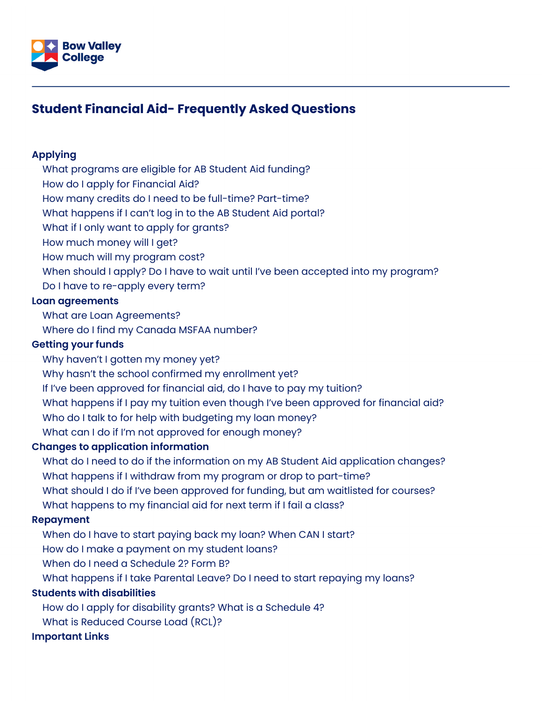

# **Student Financial Aid- Frequently Asked Questions**

#### **[Applying](#page-1-0)**

[What programs are eligible for AB Student Aid funding?](#page-1-1)

[How do I apply for Financial Aid?](#page-1-2)

[How many credits do I need to be full-time? Part-time?](#page-1-3)

[What happens if I can't log in to the AB Student Aid portal?](#page-1-4)

[What if I only want to apply for grants?](#page-2-0)

[How much money will I get?](#page-2-1)

[How much will my program cost?](#page-2-2)

[When should I apply? Do I have to wait until I've been accepted into my program?](#page-2-3)

[Do I have to re-apply every term?](#page-2-4)

#### **[Loan agreements](#page-3-0)**

[What are Loan Agreements?](#page-3-1)

[Where do I find my Canada MSFAA number?](#page-3-2)

#### **[Getting your funds](#page-3-3)**

[Why haven't I gotten my money yet?](#page-3-4)

[Why hasn't the school confirmed my enrollment yet?](#page-4-0)

[If I've been approved for financial aid, do I have to pay my tuition?](#page-4-1)

[What happens if I pay my tuition even though I've been approved for financial aid?](#page-4-2)

[Who do I talk to for help with budgeting my loan money?](#page-4-3)

[What can I do if I'm not approved for enough money?](#page-4-4)

#### **[Changes to application information](#page-5-0)**

[What do I need to do if the information on my AB Student Aid application changes?](#page-5-1) [What happens if I withdraw from my program or drop to part-time?](#page-5-2) [What should I do if I've been approved for funding, but am waitlisted for courses?](#page-5-3) [What happens to my financial aid for next term if I fail a class?](#page-6-0)

#### **[Repayment](#page-6-1)**

[When do I have to start paying back my loan? When CAN I start?](#page-6-2)

[How do I make a payment on my student loans?](#page-6-3)

[When do I need a Schedule 2? Form B?](#page-6-4)

[What happens if I take Parental Leave? Do I need to start repaying my loans?](#page-7-0)

#### **[Students with disabilities](#page-7-1)**

[How do I apply for disability grants? What is a Schedule 4?](#page-7-2)

[What is Reduced Course Load \(RCL\)?](#page-7-3)

#### **[Important Links](#page-7-4)**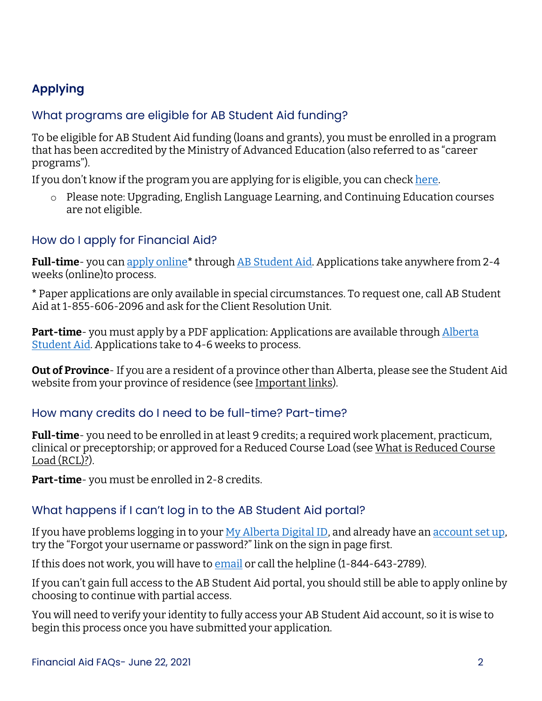# <span id="page-1-5"></span><span id="page-1-0"></span>**Applying**

#### <span id="page-1-1"></span>What programs are eligible for AB Student Aid funding?

To be eligible for AB Student Aid funding (loans and grants), you must be enrolled in a program that has been accredited by the Ministry of Advanced Education (also referred to as "career programs").

If you don't know if the program you are applying for is eligible, you can check [here.](https://studentaid.alberta.ca/eligibility/school-and-program-eligibility/)

o Please note: Upgrading, English Language Learning, and Continuing Education courses are not eligible.

### <span id="page-1-2"></span>How do I apply for Financial Aid?

**Full-time**- you ca[n apply online](https://youtu.be/Q-l3KaNNEOI)**\*** through [AB Student Aid.](https://studentaid.alberta.ca/) Applications take anywhere from 2-4 weeks (online)to process.

**\*** Paper applications are only available in special circumstances. To request one, call AB Student Aid at 1-855-606-2096 and ask for the Client Resolution Unit.

**Part-time**- you must apply by a PDF application: Applications are available through **Alberta** [Student Aid.](https://studentaid.alberta.ca/) Applications take to 4-6 weeks to process.

**Out of Province**- If you are a resident of a province other than Alberta, please see the Student Aid website from your province of residence (see [Important links\)](#page-7-4).

### <span id="page-1-3"></span>How many credits do I need to be full-time? Part-time?

**Full-time**- you need to be enrolled in at least 9 credits; a required work placement, practicum, clinical or preceptorship; or approved for a Reduced Course Load (see [What is Reduced Course](#page-7-3)  [Load \(RCL\)?\)](#page-7-3).

**Part-time**- you must be enrolled in 2-8 credits.

### <span id="page-1-4"></span>What happens if I can't log in to the AB Student Aid portal?

If you have problems logging in to you[r My Alberta Digital ID,](https://account.alberta.ca/login?spEntityID=http%3A%2F%2Fsiamsfs.madi.alberta.ca%2Fadfs%2Fservices%2Ftrust&goto=https%3A%2F%2Faccount.alberta.ca%2Fsso%2FSSORedirect%2FmetaAlias%2Fidp3%3FReqID%3Did-39850ea6-522f-4a35-b540-3e0ee8315222%26index%3Dnull%26acsURL%3D%26spEntityID%3Dhttp%253A%252F%252Fsiamsfs.madi.alberta.ca%252Fadfs%252Fservices%252Ftrust%26binding%3D) and already have an [account set up,](https://youtu.be/SkKyTTKQzTs) try the "Forgot your username or password?" link on the sign in page first.

If this does not work, you will have t[o email](mailto:myalbertaid@gov.ab.ca?subject=Access%20to%20MADI%20Account) or call the helpline (1-844-643-2789).

If you can't gain full access to the AB Student Aid portal, you should still be able to apply online by choosing to continue with partial access.

You will need to verify your identity to fully access your AB Student Aid account, so it is wise to begin this process once you have submitted your application.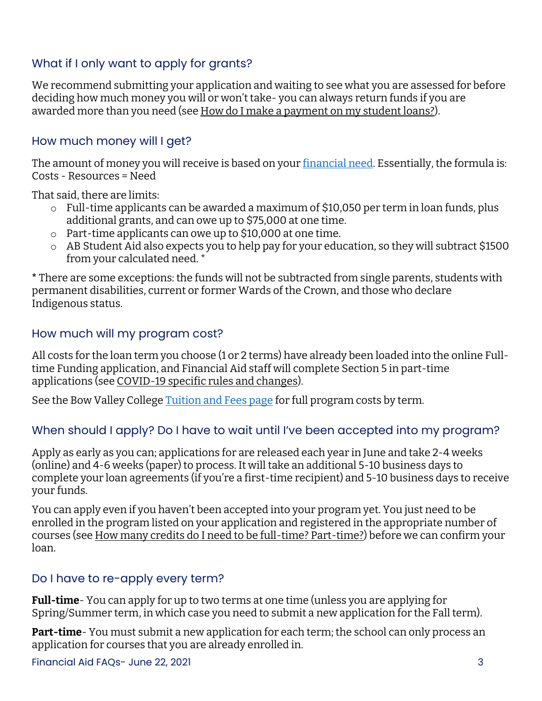## <span id="page-2-0"></span>What if I only want to apply for grants?

We recommend submitting your application and waiting to see what you are assessed for before deciding how much money you will or won't take- you can always return funds if you are awarded more than you need (se[e How do I make a payment on my student loans?\)](#page-6-3).

#### <span id="page-2-1"></span>How much money will I get?

The amount of money you will receive is based on your [financial need.](https://studentaid.alberta.ca/eligibility/eligibility-requirements-for-full-time-students/#page1108) Essentially, the formula is: Costs - Resources = Need

That said, there are limits:

- o Full-time applicants can be awarded a maximum of \$10,050 per term in loan funds, plus additional grants, and can owe up to \$75,000 at one time.
- o Part-time applicants can owe up to \$10,000 at one time.
- o AB Student Aid also expects you to help pay for your education, so they will subtract \$1500 from your calculated need. \*

**\*** There are some exceptions: the funds will not be subtracted from single parents, students with permanent disabilities, current or former Wards of the Crown, and those who declare Indigenous status.

#### <span id="page-2-2"></span>How much will my program cost?

All costs for the loan term you choose (1 or 2 terms) have already been loaded into the online Fulltime Funding application, and Financial Aid staff will complete Section 5 in part-time applications (see [COVID-19 specific rules and changes\)](#page-1-5).

See the Bow Valley College [Tuition and Fees page](https://bowvalleycollege.ca/admissions/tuition-and-fees) for full program costs by term.

### <span id="page-2-3"></span>When should I apply? Do I have to wait until I've been accepted into my program?

Apply as early as you can; applications for are released each year in June and take 2-4 weeks (online) and 4-6 weeks (paper) to process. It will take an additional 5-10 business days to complete your loan agreements (if you're a first-time recipient) and 5-10 business days to receive your funds.

You can apply even if you haven't been accepted into your program yet. You just need to be enrolled in the program listed on your application and registered in the appropriate number of courses (see [How many credits do I need to be full-time? Part-time?\)](#page-1-3) before we can confirm your loan.

#### <span id="page-2-4"></span>Do I have to re-apply every term?

**Full-time**- You can apply for up to two terms at one time (unless you are applying for Spring/Summer term, in which case you need to submit a new application for the Fall term).

**Part-time**- You must submit a new application for each term; the school can only process an application for courses that you are already enrolled in.

Financial Aid FAQs- June 22, 2021 3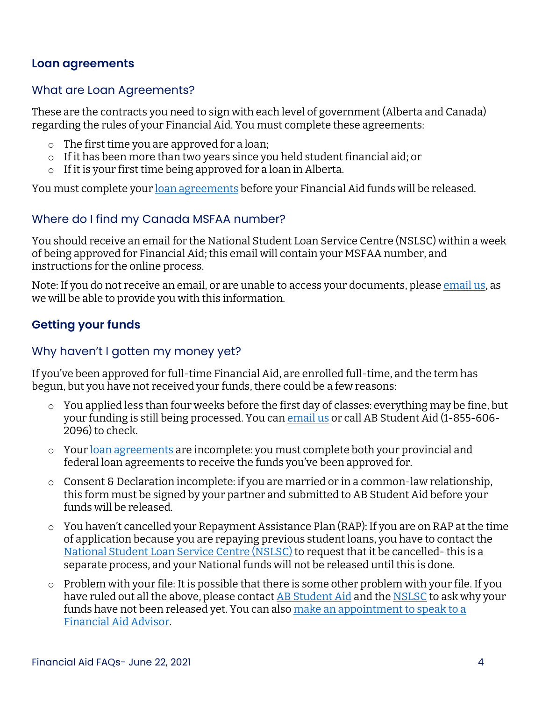#### <span id="page-3-0"></span>**Loan agreements**

#### <span id="page-3-1"></span>What are Loan Agreements?

These are the contracts you need to sign with each level of government (Alberta and Canada) regarding the rules of your Financial Aid. You must complete these agreements:

- o The first time you are approved for a loan;
- o If it has been more than two years since you held student financial aid; or
- o If it is your first time being approved for a loan in Alberta.

You must complete your [loan agreements](https://studentaid.alberta.ca/apply/after-you-re-approved/) before your Financial Aid funds will be released.

#### <span id="page-3-2"></span>Where do I find my Canada MSFAA number?

You should receive an email for the National Student Loan Service Centre (NSLSC) within a week of being approved for Financial Aid; this email will contain your MSFAA number, and instructions for the online process.

Note: If you do not receive an email, or are unable to access your documents, please [email us,](mailto:financialaid@bowvalleycollege.ca?subject=MSFAA%20Number?) as we will be able to provide you with this information.

## <span id="page-3-3"></span>**Getting your funds**

#### <span id="page-3-4"></span>Why haven't I gotten my money yet?

If you've been approved for full-time Financial Aid, are enrolled full-time, and the term has begun, but you have not received your funds, there could be a few reasons:

- o You applied less than four weeks before the first day of classes: everything may be fine, but your funding is still being processed. You ca[n email us](mailto:financialaid@bowvalleycollege.ca?subject=Loan%20Disbursement%20Query) or call AB Student Aid (1-855-606- 2096) to check.
- o You[r loan agreements](https://studentaid.alberta.ca/apply/after-you-re-approved/) are incomplete: you must complete both your provincial and federal loan agreements to receive the funds you've been approved for.
- o Consent & Declaration incomplete: if you are married or in a common-law relationship, this form must be signed by your partner and submitted to AB Student Aid before your funds will be released.
- o You haven't cancelled your Repayment Assistance Plan (RAP): If you are on RAP at the time of application because you are repaying previous student loans, you have to contact the [National Student Loan Service Centre \(NSLSC\)](https://protege-secure-2.csnpe-nslsc.canada.ca/eng/ContactUs.aspx) to request that it be cancelled- this is a separate process, and your National funds will not be released until this is done.
- $\circ$  Problem with your file: It is possible that there is some other problem with your file. If you have ruled out all the above, please contac[t AB Student Aid](https://studentaid.alberta.ca/resources/contact/) and the [NSLSC](https://protege-secure-2.csnpe-nslsc.canada.ca/eng/ContactUs.aspx) to ask why your funds have not been released yet. You can als[o make an appointment to speak to a](https://outlook.office365.com/owa/calendar/BowValleyCollege1@bowvalleycollege.ca/bookings/)  [Financial Aid Advisor.](https://outlook.office365.com/owa/calendar/BowValleyCollege1@bowvalleycollege.ca/bookings/)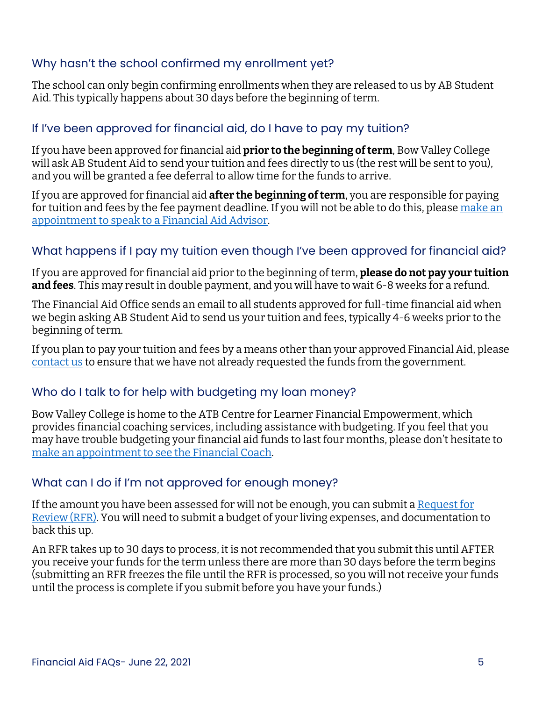#### <span id="page-4-0"></span>Why hasn't the school confirmed my enrollment yet?

The school can only begin confirming enrollments when they are released to us by AB Student Aid. This typically happens about 30 days before the beginning of term.

#### <span id="page-4-1"></span>If I've been approved for financial aid, do I have to pay my tuition?

If you have been approved for financial aid **prior to the beginning of term**, Bow Valley College will ask AB Student Aid to send your tuition and fees directly to us (the rest will be sent to you), and you will be granted a fee deferral to allow time for the funds to arrive.

If you are approved for financial aid **after the beginning of term**, you are responsible for paying for tuition and fees by the fee payment deadline. If you will not be able to do this, please make an [appointment to speak to a Financial Aid Advisor.](https://outlook.office365.com/owa/calendar/BowValleyCollege1@bowvalleycollege.ca/bookings/)

#### <span id="page-4-2"></span>What happens if I pay my tuition even though I've been approved for financial aid?

If you are approved for financial aid prior to the beginning of term, **please do not pay your tuition and fees**. This may result in double payment, and you will have to wait 6-8 weeks for a refund.

The Financial Aid Office sends an email to all students approved for full-time financial aid when we begin asking AB Student Aid to send us your tuition and fees, typically 4-6 weeks prior to the beginning of term.

If you plan to pay your tuition and fees by a means other than your approved Financial Aid, please [contact us](mailto:financialaid@bowvalleycollege.ca?subject=Fee%20Remittance%20Exception%20Request) to ensure that we have not already requested the funds from the government.

#### <span id="page-4-3"></span>Who do I talk to for help with budgeting my loan money?

Bow Valley College is home to the ATB Centre for Learner Financial Empowerment, which provides financial coaching services, including assistance with budgeting. If you feel that you may have trouble budgeting your financial aid funds to last four months, please don't hesitate to [make an appointment to see the Financial Coach.](https://outlook.office365.com/owa/calendar/BowValleyCollege1@bowvalleycollege.ca/bookings/)

#### <span id="page-4-4"></span>What can I do if I'm not approved for enough money?

If the amount you have been assessed for will not be enough, you can submit a Request for [Review \(RFR\).](https://studentaid.alberta.ca/while-you-study/request-a-review-of-your-account/) You will need to submit a budget of your living expenses, and documentation to back this up.

An RFR takes up to 30 days to process, it is not recommended that you submit this until AFTER you receive your funds for the term unless there are more than 30 days before the term begins (submitting an RFR freezes the file until the RFR is processed, so you will not receive your funds until the process is complete if you submit before you have your funds.)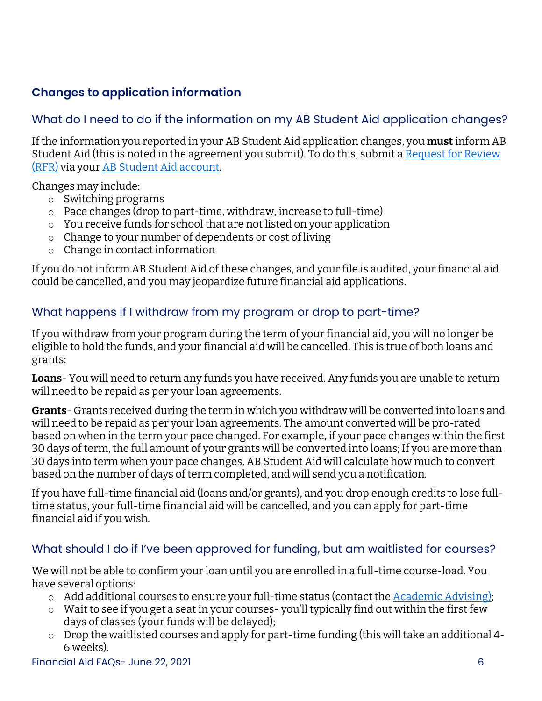## <span id="page-5-0"></span>**Changes to application information**

## <span id="page-5-1"></span>What do I need to do if the information on my AB Student Aid application changes?

If the information you reported in your AB Student Aid application changes, you **must** inform AB Student Aid (this is noted in the agreement you submit). To do this, submit a [Request for Review](https://studentaid.alberta.ca/while-you-study/request-a-review-of-your-account/)  [\(RFR\)](https://studentaid.alberta.ca/while-you-study/request-a-review-of-your-account/) via you[r AB Student Aid account.](https://studentaid.alberta.ca/)

Changes may include:

- o Switching programs
- o Pace changes (drop to part-time, withdraw, increase to full-time)
- o You receive funds for school that are not listed on your application
- o Change to your number of dependents or cost of living
- o Change in contact information

If you do not inform AB Student Aid of these changes, and your file is audited, your financial aid could be cancelled, and you may jeopardize future financial aid applications.

## <span id="page-5-2"></span>What happens if I withdraw from my program or drop to part-time?

If you withdraw from your program during the term of your financial aid, you will no longer be eligible to hold the funds, and your financial aid will be cancelled. This is true of both loans and grants:

**Loans**- You will need to return any funds you have received. Any funds you are unable to return will need to be repaid as per your loan agreements.

**Grants**- Grants received during the term in which you withdraw will be converted into loans and will need to be repaid as per your loan agreements. The amount converted will be pro-rated based on when in the term your pace changed. For example, if your pace changes within the first 30 days of term, the full amount of your grants will be converted into loans; If you are more than 30 days into term when your pace changes, AB Student Aid will calculate how much to convert based on the number of days of term completed, and will send you a notification.

If you have full-time financial aid (loans and/or grants), and you drop enough credits to lose fulltime status, your full-time financial aid will be cancelled, and you can apply for part-time financial aid if you wish.

### <span id="page-5-3"></span>What should I do if I've been approved for funding, but am waitlisted for courses?

We will not be able to confirm your loan until you are enrolled in a full-time course-load. You have several options:

- $\circ$  Add additional courses to ensure your full-time status (contact the [Academic Advising\)](mailto:advising@bowvalleycollege.ca?subject=Adding%20courses);
- o Wait to see if you get a seat in your courses- you'll typically find out within the first few days of classes (your funds will be delayed);
- o Drop the waitlisted courses and apply for part-time funding (this will take an additional 4- 6 weeks).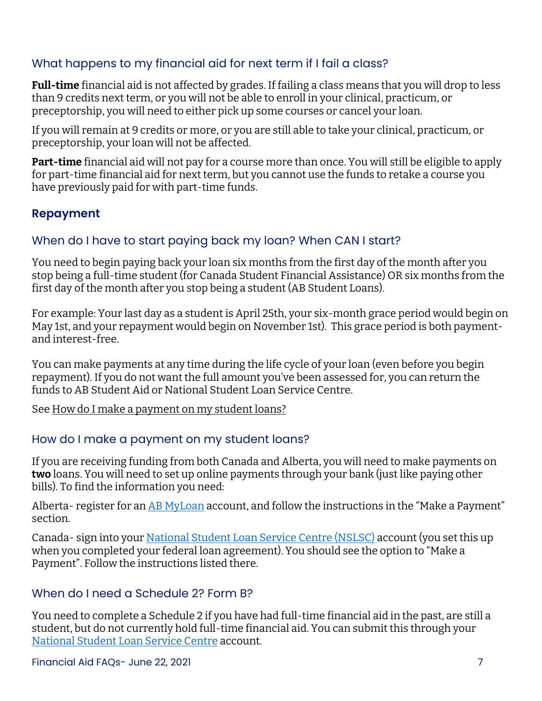### <span id="page-6-0"></span>What happens to my financial aid for next term if I fail a class?

**Full-time** financial aid is not affected by grades. If failing a class means that you will drop to less than 9 credits next term, or you will not be able to enroll in your clinical, practicum, or preceptorship, you will need to either pick up some courses or cancel your loan.

If you will remain at 9 credits or more, or you are still able to take your clinical, practicum, or preceptorship, your loan will not be affected.

**Part-time** financial aid will not pay for a course more than once. You will still be eligible to apply for part-time financial aid for next term, but you cannot use the funds to retake a course you have previously paid for with part-time funds.

## <span id="page-6-1"></span>**Repayment**

### <span id="page-6-2"></span>When do I have to start paying back my loan? When CAN I start?

You need to begin paying back your loan six months from the first day of the month after you stop being a full-time student (for Canada Student Financial Assistance) OR six months from the first day of the month after you stop being a student (AB Student Loans).

For example: Your last day as a student is April 25th, your six-month grace period would begin on May 1st, and your repayment would begin on November 1st). This grace period is both paymentand interest-free.

You can make payments at any time during the life cycle of your loan (even before you begin repayment). If you do not want the full amount you've been assessed for, you can return the funds to AB Student Aid or National Student Loan Service Centre.

Se[e How do I make a payment on my student loans?](#page-6-3)

#### <span id="page-6-3"></span>How do I make a payment on my student loans?

If you are receiving funding from both Canada and Alberta, you will need to make payments on **two** loans. You will need to set up online payments through your bank (just like paying other bills). To find the information you need:

Alberta- register for a[n AB MyLoan](https://myloan.studentaid.alberta.ca/) account, and follow the instructions in the "Make a Payment" section.

Canada- sign into your [National Student Loan Service Centre \(NSLSC\)](https://www.csnpe-nslsc.canada.ca/) account (you set this up when you completed your federal loan agreement). You should see the option to "Make a Payment". Follow the instructions listed there.

#### <span id="page-6-4"></span>When do I need a Schedule 2? Form B?

You need to complete a Schedule 2 if you have had full-time financial aid in the past, are still a student, but do not currently hold full-time financial aid. You can submit this through your [National Student Loan Service Centre](https://www.csnpe-nslsc.canada.ca/) account.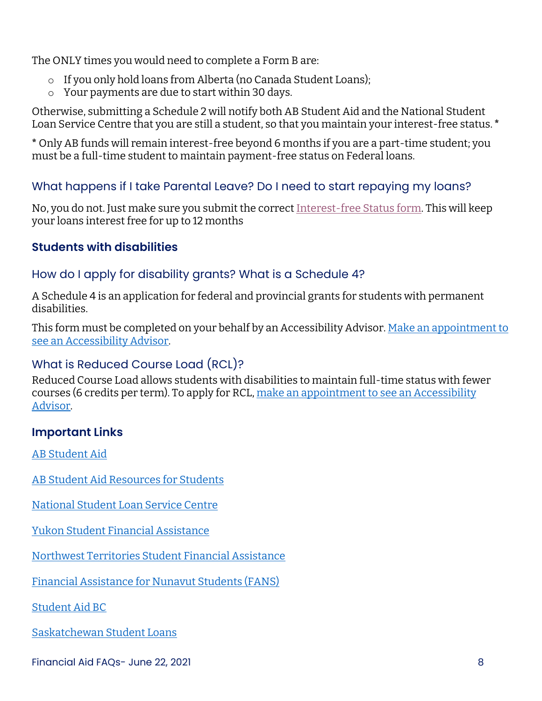The ONLY times you would need to complete a Form B are:

- $\circ$  If you only hold loans from Alberta (no Canada Student Loans);
- o Your payments are due to start within 30 days.

Otherwise, submitting a Schedule 2 will notify both AB Student Aid and the National Student Loan Service Centre that you are still a student, so that you maintain your interest-free status. **\***

**\*** Only AB funds will remain interest-free beyond 6 months if you are a part-time student; you must be a full-time student to maintain payment-free status on Federal loans.

## <span id="page-7-0"></span>What happens if I take Parental Leave? Do I need to start repaying my loans?

No, you do not. Just make sure you submit the correct [Interest-free Status form.](https://studentaid.alberta.ca/resources/applications-and-forms/#page1961) This will keep your loans interest free for up to 12 months

## <span id="page-7-1"></span>**Students with disabilities**

## <span id="page-7-2"></span>How do I apply for disability grants? What is a Schedule 4?

A Schedule 4 is an application for federal and provincial grants for students with permanent disabilities.

This form must be completed on your behalf by an Accessibility Advisor. Make an appointment to [see an Accessibility Advisor.](https://outlook.office365.com/owa/calendar/BowValleyCollege1@bowvalleycollege.ca/bookings/) 

## <span id="page-7-3"></span>What is Reduced Course Load (RCL)?

Reduced Course Load allows students with disabilities to maintain full-time status with fewer courses (6 credits per term). To apply for RCL, make an appointment to see an Accessibility [Advisor.](https://outlook.office365.com/owa/calendar/BowValleyCollege1@bowvalleycollege.ca/bookings/)

## <span id="page-7-4"></span>**Important Links**

[AB Student Aid](https://studentaid.alberta.ca/)

**[AB Student Aid Resources for Students](https://studentaid.alberta.ca/resources/)** 

[National Student Loan Service Centre](https://www.csnpe-nslsc.canada.ca/) 

[Yukon Student Financial Assistance](https://yukon.ca/en/education-and-schools-student-financial-support) 

[Northwest Territories Student Financial Assistance](https://www.ece.gov.nt.ca/en/services/studentfinancial-assistance) 

[Financial Assistance for Nunavut Students \(FANS\)](https://www.gov.nu.ca/education/programs-services/financial-assistance-nunavut-students-fans)

[Student Aid BC](https://studentaidbc.ca/) 

[Saskatchewan Student Loans](https://www.saskatchewan.ca/residents/education-and-learning/student-loans)

Financial Aid FAQs- June 22, 2021 8